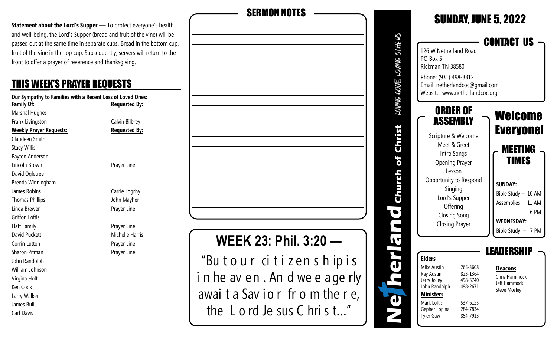**Statement about the Lord's Supper** - To protect everyone's health and well-being, the Lord's Supper (bread and fruit of the vine) will be passed out at the same time in separate cups. Bread in the bottom cup, fruit of the vine in the top cup. Subsequently, servers will return to the front to offer a prayer of reverence and thanksgiving.

### THIS WEEK'S PRAYER REQUESTS

| <b>Our Sympathy to Families with a Recent Loss of Loved Ones:</b> |                        |  |
|-------------------------------------------------------------------|------------------------|--|
| <b>Family Of:</b>                                                 | <b>Requested By:</b>   |  |
| Marshal Hughes                                                    |                        |  |
| Frank Livingston                                                  | Calvin Bilbrey         |  |
| <b>Weekly Prayer Requests:</b>                                    | <b>Requested By:</b>   |  |
| Claudeen Smith                                                    |                        |  |
| <b>Stacy Willis</b>                                               |                        |  |
| Payton Anderson                                                   |                        |  |
| Lincoln Brown                                                     | Prayer Line            |  |
| David Ogletree                                                    |                        |  |
| Brenda Winningham                                                 |                        |  |
| James Robins                                                      | Carrie Logrhy          |  |
| <b>Thomas Phillips</b>                                            | John Mayher            |  |
| Linda Brewer                                                      | Prayer Line            |  |
| <b>Griffon Loftis</b>                                             |                        |  |
| <b>Flatt Family</b>                                               | Prayer Line            |  |
| David Puckett                                                     | <b>Michelle Harris</b> |  |
| Corrin Lutton                                                     | Prayer Line            |  |
| <b>Sharon Pitman</b>                                              | Prayer Line            |  |
| John Randolph                                                     |                        |  |
| William Johnson                                                   |                        |  |
| Virgina Holt                                                      |                        |  |
| Ken Cook                                                          |                        |  |
| Larry Walker                                                      |                        |  |
| James Bull                                                        |                        |  |
| Carl Davis                                                        |                        |  |

| <b>SERMON NOTES</b>            |
|--------------------------------|
|                                |
|                                |
|                                |
|                                |
|                                |
|                                |
|                                |
|                                |
|                                |
|                                |
|                                |
|                                |
|                                |
|                                |
| <b>WEEK 23: Phil. 3:20 ---</b> |
| "Butour citizenshipis          |

i n he av en . An d we e age rly awai t a Sav io r fr o m the r e, the L o rd Je sus C hri s t…"

|                                     |                                                                                                                                                                                                                                 | NYMI, JVNE V, 4                                                                  |                                                                                                                                                                          |
|-------------------------------------|---------------------------------------------------------------------------------------------------------------------------------------------------------------------------------------------------------------------------------|----------------------------------------------------------------------------------|--------------------------------------------------------------------------------------------------------------------------------------------------------------------------|
| LOWING GOD $\boxtimes$ LOWING OTHER | 126 W Netherland Road<br>PO Box 5<br>Rickman TN 38580<br>Phone: (931) 498-3312<br>Email: netherlandcoc@gmail.com<br>Website: www.netherlandcoc.org                                                                              |                                                                                  | <b>CONTACT US</b>                                                                                                                                                        |
| of Christ                           | ORDER OF<br>ASSEMBLY<br>Scripture & Welcome<br>Meet & Greet<br>Intro Songs<br><b>Opening Prayer</b><br>Lesson<br>Opportunity to Respond<br>Singing<br>Lord's Supper<br>Offering<br><b>Closing Song</b><br><b>Closing Prayer</b> |                                                                                  | Welcome<br><b>Everyone!</b><br>MEETING<br><b>TIMES</b><br><b>SUNDAY:</b><br>Bible Study - 10 AM<br>Assemblies - 11 AM<br>6 PM<br><b>WEDNESDAY:</b><br>Bible Study - 7 PM |
|                                     | <b>Elders</b><br>Mike Austin<br>Ray Austin<br>Jerry Jolley<br>John Randolph<br><b>Ministers</b><br>Mark Loftis<br>Gepher Lopina<br><b>Tyler Gaw</b>                                                                             | 265-3608<br>823-1364<br>498-5740<br>498-2671<br>537-6125<br>284-7834<br>854-7913 | EADERSH<br><u>Deacons</u><br>Chris Hammock<br>Jeff Hammock<br><b>Steve Mosley</b>                                                                                        |

SUNDAY UINE 5, 2022